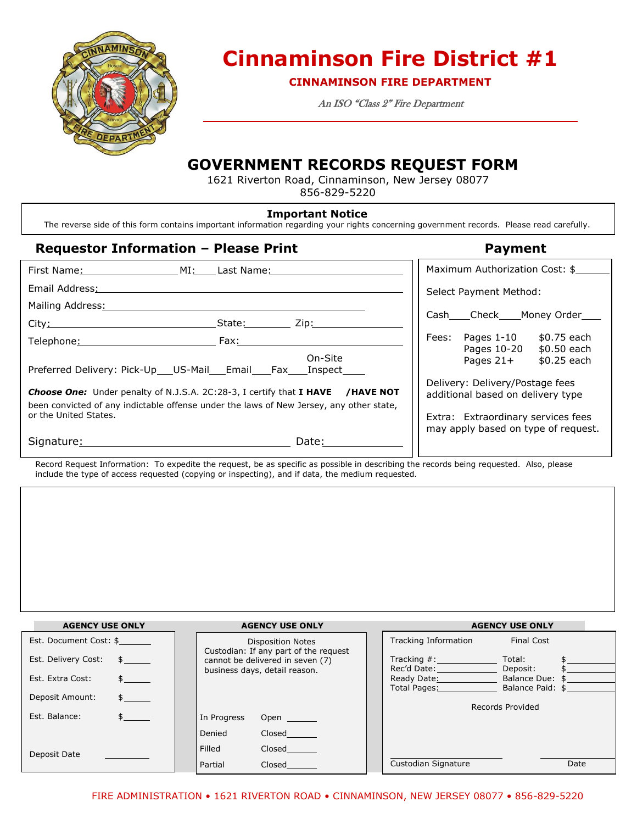

# **Cinnaminson Fire District #1**

**CINNAMINSON FIRE DEPARTMENT**

An ISO "Class 2" Fire Department

## **GOVERNMENT RECORDS REQUEST FORM**

1621 Riverton Road, Cinnaminson, New Jersey 08077 856-829-5220

#### **Important Notice**

The reverse side of this form contains important information regarding your rights concerning government records. Please read carefully.

### **Requestor Information – Please Print Payment**

| First Name: MI: Last Name:                                                                                                                                                                                                    |                     | Maximum Authorization Cost: \$                                                            |
|-------------------------------------------------------------------------------------------------------------------------------------------------------------------------------------------------------------------------------|---------------------|-------------------------------------------------------------------------------------------|
| Email Address: 2008                                                                                                                                                                                                           |                     | Select Payment Method:                                                                    |
| Mailing Address:                                                                                                                                                                                                              |                     |                                                                                           |
| City: City: City: City: City: City: City: City: City: City: City: City: City: City: City: City: City: City: City: City: City: City: City: City: City: City: City: City: City: City: City: City: City: City: City: City: City: |                     | Cash Check Money Order                                                                    |
| Telephone: 1990                                                                                                                                                                                                               | Fax: Fax<br>On-Site | Fees: Pages 1-10<br>\$0.75 each<br>Pages 10-20<br>\$0.50 each<br>Pages 21+<br>\$0.25 each |
| Preferred Delivery: Pick-Up US-Mail Email Fax Inspect                                                                                                                                                                         |                     |                                                                                           |
| <b>Choose One:</b> Under penalty of N.J.S.A. 2C:28-3, I certify that I HAVE /HAVE NOT<br>been convicted of any indictable offense under the laws of New Jersey, any other state,                                              |                     | Delivery: Delivery/Postage fees<br>additional based on delivery type                      |
| or the United States.                                                                                                                                                                                                         |                     | Extra: Extraordinary services fees<br>may apply based on type of request.                 |
| Signature: Signature:                                                                                                                                                                                                         | Date:               |                                                                                           |

Record Request Information: To expedite the request, be as specific as possible in describing the records being requested. Also, please include the type of access requested (copying or inspecting), and if data, the medium requested.

| <b>AGENCY USE ONLY</b>                               | <b>AGENCY USE ONLY</b>                                            | <b>AGENCY USE ONLY</b>                                                                                                                                                                                           |
|------------------------------------------------------|-------------------------------------------------------------------|------------------------------------------------------------------------------------------------------------------------------------------------------------------------------------------------------------------|
| Est. Document Cost: \$                               | <b>Disposition Notes</b><br>Custodian: If any part of the request | Tracking Information<br><b>Final Cost</b>                                                                                                                                                                        |
| Est. Delivery Cost:<br>$\mathsf{s}$ and $\mathsf{s}$ | cannot be delivered in seven (7)                                  | Tracking $#$ :<br>Total:                                                                                                                                                                                         |
| Est. Extra Cost:                                     | business days, detail reason.                                     | Rec'd Date: ______________<br>Deposit:<br>Ready Date: The Contract of the Contract of the Contract of the Contract of the Contract of the Contract of the<br>Balance Due: \$<br>Total Pages:<br>Balance Paid: \$ |
| Deposit Amount:<br>$\frac{1}{2}$                     |                                                                   | Records Provided                                                                                                                                                                                                 |
| Est. Balance:                                        | In Progress<br><b>Open</b>                                        |                                                                                                                                                                                                                  |
|                                                      | Denied<br>Closed                                                  |                                                                                                                                                                                                                  |
| Deposit Date                                         | Filled<br>Closed                                                  |                                                                                                                                                                                                                  |
|                                                      | Partial<br>Closed                                                 | Custodian Signature<br>Date                                                                                                                                                                                      |